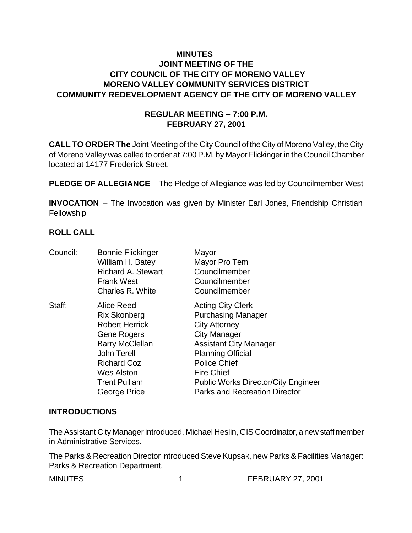# **MINUTES JOINT MEETING OF THE CITY COUNCIL OF THE CITY OF MORENO VALLEY MORENO VALLEY COMMUNITY SERVICES DISTRICT COMMUNITY REDEVELOPMENT AGENCY OF THE CITY OF MORENO VALLEY**

## **REGULAR MEETING – 7:00 P.M. FEBRUARY 27, 2001**

**CALL TO ORDER The** Joint Meeting of the City Council of the City of Moreno Valley, the City of Moreno Valley was called to order at 7:00 P.M. by Mayor Flickinger in the Council Chamber located at 14177 Frederick Street.

**PLEDGE OF ALLEGIANCE** – The Pledge of Allegiance was led by Councilmember West

**INVOCATION** – The Invocation was given by Minister Earl Jones, Friendship Christian Fellowship

## **ROLL CALL**

| Council: | <b>Bonnie Flickinger</b>  | Mayor                                      |
|----------|---------------------------|--------------------------------------------|
|          | William H. Batey          | Mayor Pro Tem                              |
|          | <b>Richard A. Stewart</b> | Councilmember                              |
|          | <b>Frank West</b>         | Councilmember                              |
|          | Charles R. White          | Councilmember                              |
| Staff:   | Alice Reed                | <b>Acting City Clerk</b>                   |
|          | <b>Rix Skonberg</b>       | <b>Purchasing Manager</b>                  |
|          | <b>Robert Herrick</b>     | <b>City Attorney</b>                       |
|          | Gene Rogers               | <b>City Manager</b>                        |
|          | <b>Barry McClellan</b>    | <b>Assistant City Manager</b>              |
|          | <b>John Terell</b>        | <b>Planning Official</b>                   |
|          | <b>Richard Coz</b>        | <b>Police Chief</b>                        |
|          | Wes Alston                | <b>Fire Chief</b>                          |
|          | <b>Trent Pulliam</b>      | <b>Public Works Director/City Engineer</b> |
|          | George Price              | <b>Parks and Recreation Director</b>       |
|          |                           |                                            |

#### **INTRODUCTIONS**

The Assistant City Manager introduced, Michael Heslin, GIS Coordinator, a new staff member in Administrative Services.

The Parks & Recreation Director introduced Steve Kupsak, new Parks & Facilities Manager: Parks & Recreation Department.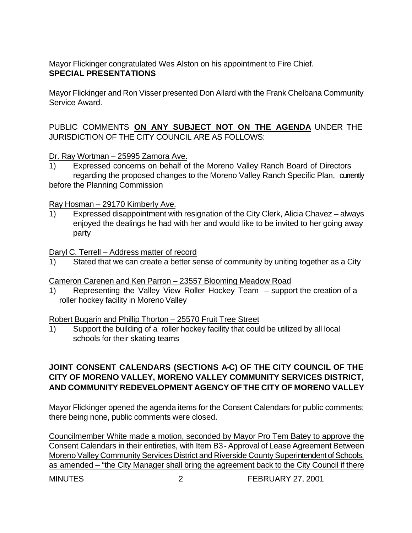# Mayor Flickinger congratulated Wes Alston on his appointment to Fire Chief. **SPECIAL PRESENTATIONS**

Mayor Flickinger and Ron Visser presented Don Allard with the Frank Chelbana Community Service Award.

# PUBLIC COMMENTS **ON ANY SUBJECT NOT ON THE AGENDA** UNDER THE JURISDICTION OF THE CITY COUNCIL ARE AS FOLLOWS:

## Dr. Ray Wortman – 25995 Zamora Ave.

1) Expressed concerns on behalf of the Moreno Valley Ranch Board of Directors regarding the proposed changes to the Moreno Valley Ranch Specific Plan, currently before the Planning Commission

#### Ray Hosman – 29170 Kimberly Ave.

1) Expressed disappointment with resignation of the City Clerk, Alicia Chavez – always enjoyed the dealings he had with her and would like to be invited to her going away party

## Daryl C. Terrell – Address matter of record

1) Stated that we can create a better sense of community by uniting together as a City

#### Cameron Carenen and Ken Parron – 23557 Blooming Meadow Road

1) Representing the Valley View Roller Hockey Team – support the creation of a roller hockey facility in Moreno Valley

# Robert Bugarin and Phillip Thorton – 25570 Fruit Tree Street

1) Support the building of a roller hockey facility that could be utilized by all local schools for their skating teams

# **JOINT CONSENT CALENDARS (SECTIONS A-C) OF THE CITY COUNCIL OF THE CITY OF MORENO VALLEY, MORENO VALLEY COMMUNITY SERVICES DISTRICT, AND COMMUNITY REDEVELOPMENT AGENCY OF THE CITY OF MORENO VALLEY**

Mayor Flickinger opened the agenda items for the Consent Calendars for public comments; there being none, public comments were closed.

Councilmember White made a motion, seconded by Mayor Pro Tem Batey to approve the Consent Calendars in their entireties, with Item B3 - Approval of Lease Agreement Between Moreno Valley Community Services District and Riverside County Superintendent of Schools, as amended – "the City Manager shall bring the agreement back to the City Council if there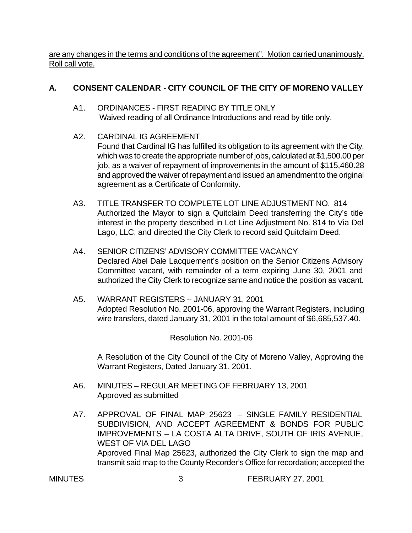are any changes in the terms and conditions of the agreement". Motion carried unanimously. Roll call vote.

# **A. CONSENT CALENDAR** - **CITY COUNCIL OF THE CITY OF MORENO VALLEY**

- A1. ORDINANCES FIRST READING BY TITLE ONLY Waived reading of all Ordinance Introductions and read by title only.
- A2. CARDINAL IG AGREEMENT

Found that Cardinal IG has fulfilled its obligation to its agreement with the City, which was to create the appropriate number of jobs, calculated at \$1,500.00 per job, as a waiver of repayment of improvements in the amount of \$115,460.28 and approved the waiver of repayment and issued an amendment to the original agreement as a Certificate of Conformity.

- A3. TITLE TRANSFER TO COMPLETE LOT LINE ADJUSTMENT NO. 814 Authorized the Mayor to sign a Quitclaim Deed transferring the City's title interest in the property described in Lot Line Adjustment No. 814 to Via Del Lago, LLC, and directed the City Clerk to record said Quitclaim Deed.
- A4. SENIOR CITIZENS' ADVISORY COMMITTEE VACANCY Declared Abel Dale Lacquement's position on the Senior Citizens Advisory Committee vacant, with remainder of a term expiring June 30, 2001 and authorized the City Clerk to recognize same and notice the position as vacant.
- A5. WARRANT REGISTERS -- JANUARY 31, 2001 Adopted Resolution No. 2001-06, approving the Warrant Registers, including wire transfers, dated January 31, 2001 in the total amount of \$6,685,537.40.

Resolution No. 2001-06

A Resolution of the City Council of the City of Moreno Valley, Approving the Warrant Registers, Dated January 31, 2001.

- A6. MINUTES REGULAR MEETING OF FEBRUARY 13, 2001 Approved as submitted
- A7. APPROVAL OF FINAL MAP 25623 SINGLE FAMILY RESIDENTIAL SUBDIVISION, AND ACCEPT AGREEMENT & BONDS FOR PUBLIC IMPROVEMENTS – LA COSTA ALTA DRIVE, SOUTH OF IRIS AVENUE, WEST OF VIA DEL LAGO Approved Final Map 25623, authorized the City Clerk to sign the map and transmit said map to the County Recorder's Office for recordation; accepted the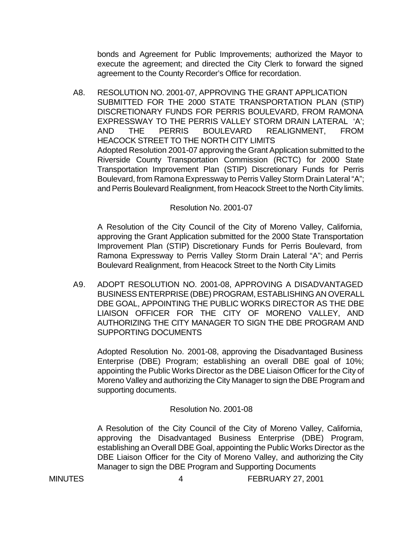bonds and Agreement for Public Improvements; authorized the Mayor to execute the agreement; and directed the City Clerk to forward the signed agreement to the County Recorder's Office for recordation.

A8. RESOLUTION NO. 2001-07, APPROVING THE GRANT APPLICATION SUBMITTED FOR THE 2000 STATE TRANSPORTATION PLAN (STIP) DISCRETIONARY FUNDS FOR PERRIS BOULEVARD, FROM RAMONA EXPRESSWAY TO THE PERRIS VALLEY STORM DRAIN LATERAL 'A'; AND THE PERRIS BOULEVARD REALIGNMENT, FROM HEACOCK STREET TO THE NORTH CITY LIMITS Adopted Resolution 2001-07 approving the Grant Application submitted to the Riverside County Transportation Commission (RCTC) for 2000 State Transportation Improvement Plan (STIP) Discretionary Funds for Perris Boulevard, from Ramona Expressway to Perris Valley Storm Drain Lateral "A"; and Perris Boulevard Realignment, from Heacock Street to the North City limits.

#### Resolution No. 2001-07

A Resolution of the City Council of the City of Moreno Valley, California, approving the Grant Application submitted for the 2000 State Transportation Improvement Plan (STIP) Discretionary Funds for Perris Boulevard, from Ramona Expressway to Perris Valley Storm Drain Lateral "A"; and Perris Boulevard Realignment, from Heacock Street to the North City Limits

A9. ADOPT RESOLUTION NO. 2001-08, APPROVING A DISADVANTAGED BUSINESS ENTERPRISE (DBE) PROGRAM, ESTABLISHING AN OVERALL DBE GOAL, APPOINTING THE PUBLIC WORKS DIRECTOR AS THE DBE LIAISON OFFICER FOR THE CITY OF MORENO VALLEY, AND AUTHORIZING THE CITY MANAGER TO SIGN THE DBE PROGRAM AND SUPPORTING DOCUMENTS

Adopted Resolution No. 2001-08, approving the Disadvantaged Business Enterprise (DBE) Program; establishing an overall DBE goal of 10%; appointing the Public Works Director as the DBE Liaison Officer for the City of Moreno Valley and authorizing the City Manager to sign the DBE Program and supporting documents.

#### Resolution No. 2001-08

A Resolution of the City Council of the City of Moreno Valley, California, approving the Disadvantaged Business Enterprise (DBE) Program, establishing an Overall DBE Goal, appointing the Public Works Director as the DBE Liaison Officer for the City of Moreno Valley, and authorizing the City Manager to sign the DBE Program and Supporting Documents

MINUTES 4 FEBRUARY 27, 2001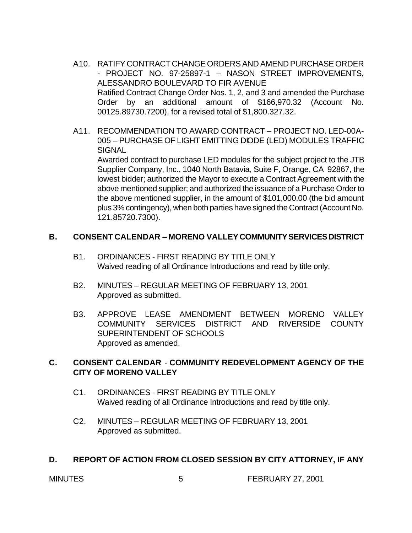- A10. RATIFY CONTRACT CHANGE ORDERS AND AMEND PURCHASE ORDER - PROJECT NO. 97-25897-1 – NASON STREET IMPROVEMENTS, ALESSANDRO BOULEVARD TO FIR AVENUE Ratified Contract Change Order Nos. 1, 2, and 3 and amended the Purchase Order by an additional amount of \$166,970.32 (Account No. 00125.89730.7200), for a revised total of \$1,800.327.32.
- A11. RECOMMENDATION TO AWARD CONTRACT PROJECT NO. LED-00A-005 – PURCHASE OF LIGHT EMITTING DIODE (LED) MODULES TRAFFIC **SIGNAL**

Awarded contract to purchase LED modules for the subject project to the JTB Supplier Company, Inc., 1040 North Batavia, Suite F, Orange, CA 92867, the lowest bidder; authorized the Mayor to execute a Contract Agreement with the above mentioned supplier; and authorized the issuance of a Purchase Order to the above mentioned supplier, in the amount of \$101,000.00 (the bid amount plus 3% contingency), when both parties have signed the Contract (Account No. 121.85720.7300).

## **B. CONSENT CALENDAR** – **MORENO VALLEY COMMUNITY SERVICES DISTRICT**

- B1. ORDINANCES FIRST READING BY TITLE ONLY Waived reading of all Ordinance Introductions and read by title only.
- B2. MINUTES REGULAR MEETING OF FEBRUARY 13, 2001 Approved as submitted.
- B3. APPROVE LEASE AMENDMENT BETWEEN MORENO VALLEY COMMUNITY SERVICES DISTRICT AND RIVERSIDE COUNTY SUPERINTENDENT OF SCHOOLS Approved as amended.

# **C. CONSENT CALENDAR** - **COMMUNITY REDEVELOPMENT AGENCY OF THE CITY OF MORENO VALLEY**

- C1. ORDINANCES FIRST READING BY TITLE ONLY Waived reading of all Ordinance Introductions and read by title only.
- C2. MINUTES REGULAR MEETING OF FEBRUARY 13, 2001 Approved as submitted.

#### **D. REPORT OF ACTION FROM CLOSED SESSION BY CITY ATTORNEY, IF ANY**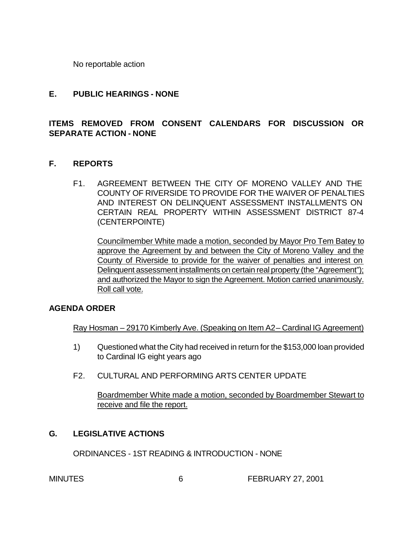No reportable action

#### **E. PUBLIC HEARINGS - NONE**

# **ITEMS REMOVED FROM CONSENT CALENDARS FOR DISCUSSION OR SEPARATE ACTION - NONE**

## **F. REPORTS**

F1. AGREEMENT BETWEEN THE CITY OF MORENO VALLEY AND THE COUNTY OF RIVERSIDE TO PROVIDE FOR THE WAIVER OF PENALTIES AND INTEREST ON DELINQUENT ASSESSMENT INSTALLMENTS ON CERTAIN REAL PROPERTY WITHIN ASSESSMENT DISTRICT 87-4 (CENTERPOINTE)

Councilmember White made a motion, seconded by Mayor Pro Tem Batey to approve the Agreement by and between the City of Moreno Valley and the County of Riverside to provide for the waiver of penalties and interest on Delinquent assessment installments on certain real property (the "Agreement"); and authorized the Mayor to sign the Agreement. Motion carried unanimously. Roll call vote.

#### **AGENDA ORDER**

Ray Hosman – 29170 Kimberly Ave. (Speaking on Item A2 – Cardinal IG Agreement)

- 1) Questioned what the City had received in return for the \$153,000 loan provided to Cardinal IG eight years ago
- F2. CULTURAL AND PERFORMING ARTS CENTER UPDATE

Boardmember White made a motion, seconded by Boardmember Stewart to receive and file the report.

#### **G. LEGISLATIVE ACTIONS**

ORDINANCES - 1ST READING & INTRODUCTION - NONE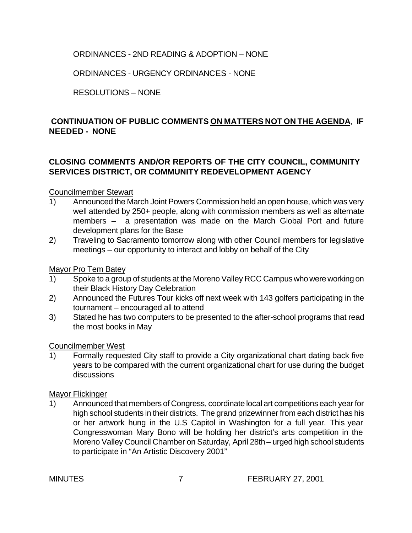# ORDINANCES - 2ND READING & ADOPTION – NONE

ORDINANCES - URGENCY ORDINANCES - NONE

RESOLUTIONS – NONE

# **CONTINUATION OF PUBLIC COMMENTS ON MATTERS NOT ON THE AGENDA**, **IF NEEDED - NONE**

# **CLOSING COMMENTS AND/OR REPORTS OF THE CITY COUNCIL, COMMUNITY SERVICES DISTRICT, OR COMMUNITY REDEVELOPMENT AGENCY**

#### Councilmember Stewart

- 1) Announced the March Joint Powers Commission held an open house, which was very well attended by 250+ people, along with commission members as well as alternate members – a presentation was made on the March Global Port and future development plans for the Base
- 2) Traveling to Sacramento tomorrow along with other Council members for legislative meetings – our opportunity to interact and lobby on behalf of the City

#### Mayor Pro Tem Batey

- 1) Spoke to a group of students at the Moreno Valley RCC Campus who were working on their Black History Day Celebration
- 2) Announced the Futures Tour kicks off next week with 143 golfers participating in the tournament – encouraged all to attend
- 3) Stated he has two computers to be presented to the after-school programs that read the most books in May

#### Councilmember West

1) Formally requested City staff to provide a City organizational chart dating back five years to be compared with the current organizational chart for use during the budget discussions

#### Mayor Flickinger

1) Announced that members of Congress, coordinate local art competitions each year for high school students in their districts. The grand prizewinner from each district has his or her artwork hung in the U.S Capitol in Washington for a full year. This year Congresswoman Mary Bono will be holding her district's arts competition in the Moreno Valley Council Chamber on Saturday, April 28th – urged high school students to participate in "An Artistic Discovery 2001"